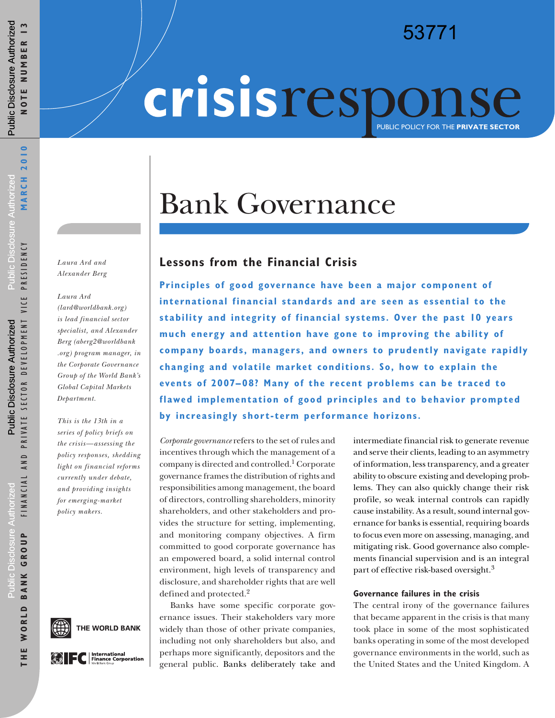### 53771

# crisisrespor PUBLIC POLICY FOR THE **PRIVATE SECTOR**

## Bank Governance

#### *Laura Ard and Alexander Berg*

#### *Laura Ard (lard@worldbank.org) is lead financial sector specialist, and Alexander Berg (aberg2@worldbank .org) program manager, in the Corporate Governance Group of the World Bank's Global Capital Markets Department.*

*This is the 13th in a series of policy briefs on the crisis—assessing the policy responses, shedding light on financial reforms currently under debate, and providing insights for emerging-market policy makers.*



**C** | International<br>
World Bank Group

### **Lessons from the Financial Crisis**

**Principles of good governance have been a major component of international financial standards and are seen as essential to the stability and integrity of financial systems. Over the past 10 years much energy and attention have gone to improving the ability of company boards, managers, and owners to prudently navigate rapidly changing and volatile market conditions. So, how to explain the events of 2007–08? Many of the recent problems can be traced to flawed implementation of good principles and to behavior prompted by increasingly short-term performance horizons.** 

*Corporate governance* refers to the set of rules and incentives through which the management of a company is directed and controlled.1 Corporate governance frames the distribution of rights and responsibilities among management, the board of directors, controlling shareholders, minority shareholders, and other stakeholders and provides the structure for setting, implementing, and monitoring company objectives. A firm committed to good corporate governance has an empowered board, a solid internal control environment, high levels of transparency and disclosure, and shareholder rights that are well defined and protected.<sup>2</sup>

Banks have some specific corporate governance issues. Their stakeholders vary more widely than those of other private companies, including not only shareholders but also, and perhaps more significantly, depositors and the general public. Banks deliberately take and

intermediate financial risk to generate revenue and serve their clients, leading to an asymmetry of information, less transparency, and a greater ability to obscure existing and developing problems. They can also quickly change their risk profile, so weak internal controls can rapidly cause instability. As a result, sound internal governance for banks is essential, requiring boards to focus even more on assessing, managing, and mitigating risk. Good governance also complements financial supervision and is an integral part of effective risk-based oversight.<sup>3</sup>

#### **Governance failures in the crisis**

The central irony of the governance failures that became apparent in the crisis is that many took place in some of the most sophisticated banks operating in some of the most developed governance environments in the world, such as the United States and the United Kingdom. A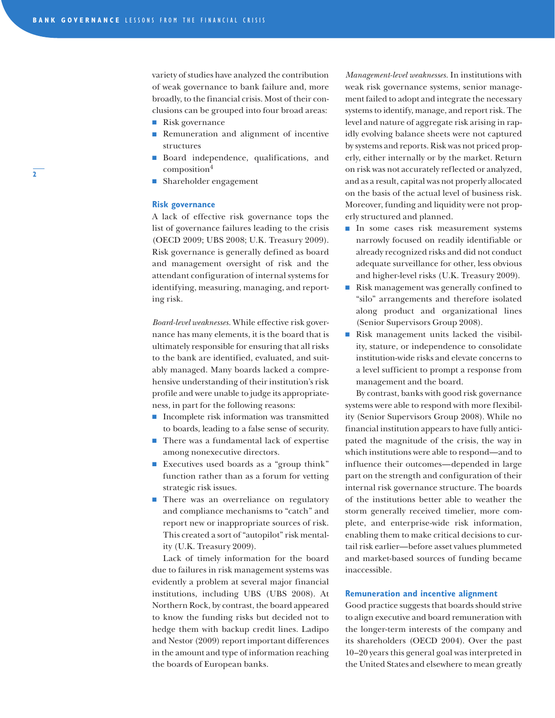variety of studies have analyzed the contribution of weak governance to bank failure and, more broadly, to the financial crisis. Most of their conclusions can be grouped into four broad areas:

- Risk governance
- Remuneration and alignment of incentive structures
- Board independence, qualifications, and composition4
- Shareholder engagement

#### **Risk governance**

A lack of effective risk governance tops the list of governance failures leading to the crisis (OECD 2009; UBS 2008; U.K. Treasury 2009). Risk governance is generally defined as board and management oversight of risk and the attendant configuration of internal systems for identifying, measuring, managing, and reporting risk.

*Board-level weaknesses.* While effective risk governance has many elements, it is the board that is ultimately responsible for ensuring that all risks to the bank are identified, evaluated, and suitably managed. Many boards lacked a comprehensive understanding of their institution's risk profile and were unable to judge its appropriateness, in part for the following reasons:

- Incomplete risk information was transmitted to boards, leading to a false sense of security.
- There was a fundamental lack of expertise among nonexecutive directors.
- Executives used boards as a "group think" function rather than as a forum for vetting strategic risk issues.
- There was an overreliance on regulatory and compliance mechanisms to "catch" and report new or inappropriate sources of risk. This created a sort of "autopilot" risk mentality (U.K. Treasury 2009).

Lack of timely information for the board due to failures in risk management systems was evidently a problem at several major financial institutions, including UBS (UBS 2008). At Northern Rock, by contrast, the board appeared to know the funding risks but decided not to hedge them with backup credit lines. Ladipo and Nestor (2009) report important differences in the amount and type of information reaching the boards of European banks.

*Management-level weaknesses.* In institutions with weak risk governance systems, senior management failed to adopt and integrate the necessary systems to identify, manage, and report risk. The level and nature of aggregate risk arising in rapidly evolving balance sheets were not captured by systems and reports. Risk was not priced properly, either internally or by the market. Return on risk was not accurately reflected or analyzed, and as a result, capital was not properly allocated on the basis of the actual level of business risk. Moreover, funding and liquidity were not properly structured and planned.

- In some cases risk measurement systems narrowly focused on readily identifiable or already recognized risks and did not conduct adequate surveillance for other, less obvious and higher-level risks (U.K. Treasury 2009).
- Risk management was generally confined to "silo" arrangements and therefore isolated along product and organizational lines (Senior Supervisors Group 2008).
- Risk management units lacked the visibility, stature, or independence to consolidate institution-wide risks and elevate concerns to a level sufficient to prompt a response from management and the board.

By contrast, banks with good risk governance systems were able to respond with more flexibility (Senior Supervisors Group 2008). While no financial institution appears to have fully anticipated the magnitude of the crisis, the way in which institutions were able to respond—and to influence their outcomes—depended in large part on the strength and configuration of their internal risk governance structure. The boards of the institutions better able to weather the storm generally received timelier, more complete, and enterprise-wide risk information, enabling them to make critical decisions to curtail risk earlier—before asset values plummeted and market-based sources of funding became inaccessible.

#### **Remuneration and incentive alignment**

Good practice suggests that boards should strive to align executive and board remuneration with the longer-term interests of the company and its shareholders (OECD 2004). Over the past 10–20 years this general goal was interpreted in the United States and elsewhere to mean greatly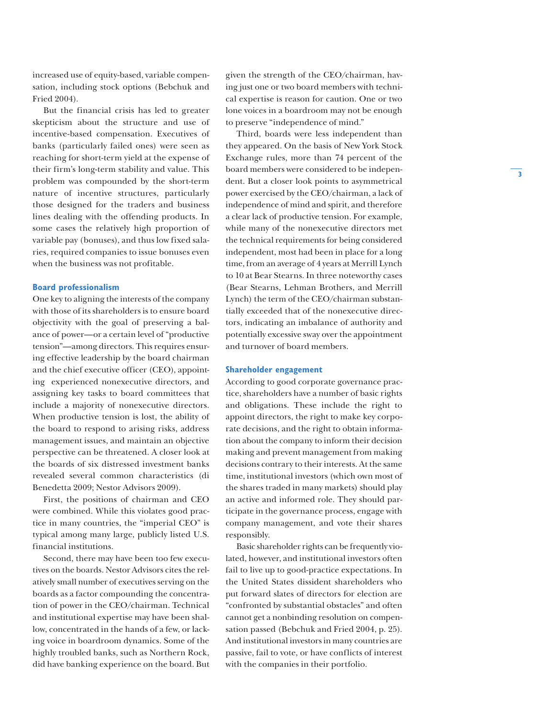increased use of equity-based, variable compensation, including stock options (Bebchuk and Fried 2004).

But the financial crisis has led to greater skepticism about the structure and use of incentive-based compensation. Executives of banks (particularly failed ones) were seen as reaching for short-term yield at the expense of their firm's long-term stability and value. This problem was compounded by the short-term nature of incentive structures, particularly those designed for the traders and business lines dealing with the offending products. In some cases the relatively high proportion of variable pay (bonuses), and thus low fixed salaries, required companies to issue bonuses even when the business was not profitable.

#### **Board professionalism**

One key to aligning the interests of the company with those of its shareholders is to ensure board objectivity with the goal of preserving a balance of power—or a certain level of "productive tension"—among directors. This requires ensuring effective leadership by the board chairman and the chief executive officer (CEO), appointing experienced nonexecutive directors, and assigning key tasks to board committees that include a majority of nonexecutive directors. When productive tension is lost, the ability of the board to respond to arising risks, address management issues, and maintain an objective perspective can be threatened. A closer look at the boards of six distressed investment banks revealed several common characteristics (di Benedetta 2009; Nestor Advisors 2009).

First, the positions of chairman and CEO were combined. While this violates good practice in many countries, the "imperial CEO" is typical among many large, publicly listed U.S. financial institutions.

Second, there may have been too few executives on the boards. Nestor Advisors cites the relatively small number of executives serving on the boards as a factor compounding the concentration of power in the CEO/chairman. Technical and institutional expertise may have been shallow, concentrated in the hands of a few, or lacking voice in boardroom dynamics. Some of the highly troubled banks, such as Northern Rock, did have banking experience on the board. But given the strength of the CEO/chairman, having just one or two board members with technical expertise is reason for caution. One or two lone voices in a boardroom may not be enough to preserve "independence of mind."

Third, boards were less independent than they appeared. On the basis of New York Stock Exchange rules, more than 74 percent of the board members were considered to be independent. But a closer look points to asymmetrical power exercised by the CEO/chairman, a lack of independence of mind and spirit, and therefore a clear lack of productive tension. For example, while many of the nonexecutive directors met the technical requirements for being considered independent, most had been in place for a long time, from an average of 4 years at Merrill Lynch to 10 at Bear Stearns. In three noteworthy cases (Bear Stearns, Lehman Brothers, and Merrill Lynch) the term of the CEO/chairman substantially exceeded that of the nonexecutive directors, indicating an imbalance of authority and potentially excessive sway over the appointment and turnover of board members.

#### **Shareholder engagement**

According to good corporate governance practice, shareholders have a number of basic rights and obligations. These include the right to appoint directors, the right to make key corporate decisions, and the right to obtain information about the company to inform their decision making and prevent management from making decisions contrary to their interests. At the same time, institutional investors (which own most of the shares traded in many markets) should play an active and informed role. They should participate in the governance process, engage with company management, and vote their shares responsibly.

Basic shareholder rights can be frequently violated, however, and institutional investors often fail to live up to good-practice expectations. In the United States dissident shareholders who put forward slates of directors for election are "confronted by substantial obstacles" and often cannot get a nonbinding resolution on compensation passed (Bebchuk and Fried 2004, p. 25). And institutional investors in many countries are passive, fail to vote, or have conflicts of interest with the companies in their portfolio.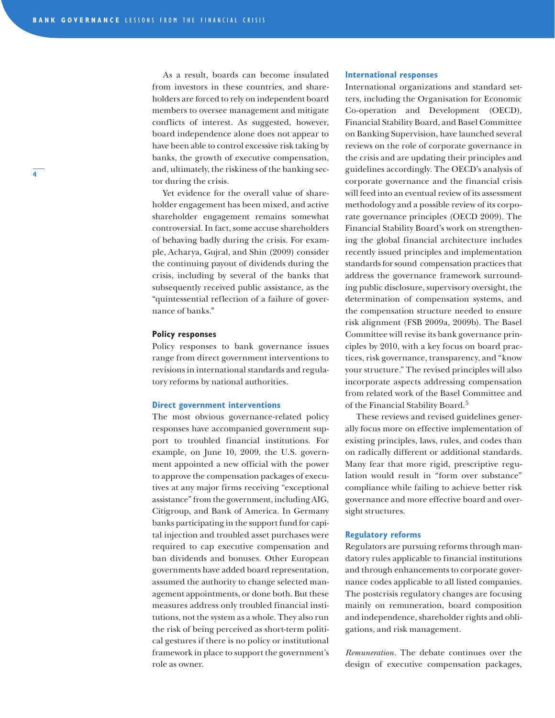As a result, boards can become insulated from investors in these countries, and shareholders are forced to rely on independent board members to oversee management and mitigate conflicts of interest. As suggested, however, board independence alone does not appear to have been able to control excessive risk taking by banks, the growth of executive compensation, and, ultimately, the riskiness of the banking sector during the crisis.

Yet evidence for the overall value of shareholder engagement has been mixed, and active shareholder engagement remains somewhat controversial. In fact, some accuse shareholders of behaving badly during the crisis. For example, Acharya, Gujral, and Shin (2009) consider the continuing payout of dividends during the crisis, including by several of the banks that subsequently received public assistance, as the "quintessential reflection of a failure of governance of banks."

#### **Policy responses**

Policy responses to bank governance issues range from direct government interventions to revisions in international standards and regulatory reforms by national authorities.

#### **Direct government interventions**

The most obvious governance-related policy responses have accompanied government support to troubled financial institutions. For example, on June 10, 2009, the U.S. government appointed a new official with the power to approve the compensation packages of executives at any major firms receiving "exceptional assistance" from the government, including AIG, Citigroup, and Bank of America. In Germany banks participating in the support fund for capital injection and troubled asset purchases were required to cap executive compensation and ban dividends and bonuses. Other European governments have added board representation, assumed the authority to change selected management appointments, or done both. But these measures address only troubled financial institutions, not the system as a whole. They also run the risk of being perceived as short-term political gestures if there is no policy or institutional framework in place to support the government's role as owner.

#### **International responses**

International organizations and standard setters, including the Organisation for Economic Co-operation and Development (OECD), Financial Stability Board, and Basel Committee on Banking Supervision, have launched several reviews on the role of corporate governance in the crisis and are updating their principles and guidelines accordingly. The OECD's analysis of corporate governance and the financial crisis will feed into an eventual review of its assessment methodology and a possible review of its corporate governance principles (OECD 2009). The Financial Stability Board's work on strengthening the global financial architecture includes recently issued principles and implementation standards for sound compensation practices that address the governance framework surrounding public disclosure, supervisory oversight, the determination of compensation systems, and the compensation structure needed to ensure risk alignment (FSB 2009a, 2009b). The Basel Committee will revise its bank governance principles by 2010, with a key focus on board practices, risk governance, transparency, and "know your structure." The revised principles will also incorporate aspects addressing compensation from related work of the Basel Committee and of the Financial Stability Board.<sup>5</sup>

These reviews and revised guidelines generally focus more on effective implementation of existing principles, laws, rules, and codes than on radically different or additional standards. Many fear that more rigid, prescriptive regulation would result in "form over substance" compliance while failing to achieve better risk governance and more effective board and oversight structures.

#### **Regulatory reforms**

Regulators are pursuing reforms through mandatory rules applicable to financial institutions and through enhancements to corporate governance codes applicable to all listed companies. The postcrisis regulatory changes are focusing mainly on remuneration, board composition and independence, shareholder rights and obligations, and risk management.

*Remuneration.* The debate continues over the design of executive compensation packages,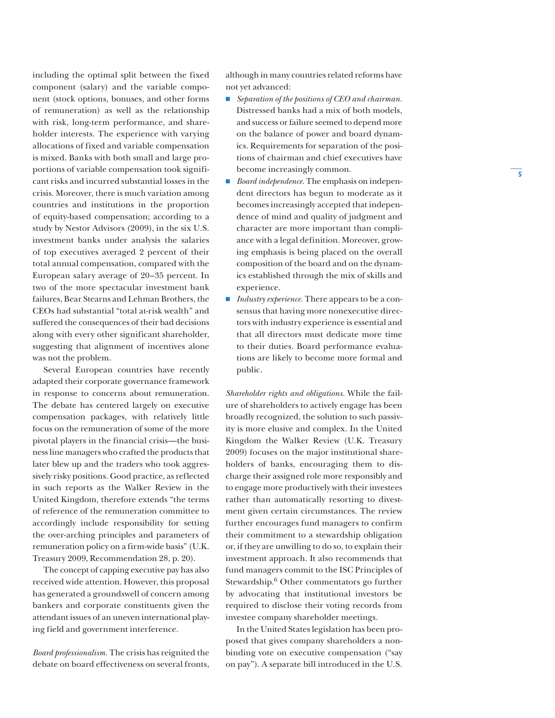including the optimal split between the fixed component (salary) and the variable component (stock options, bonuses, and other forms of remuneration) as well as the relationship with risk, long-term performance, and shareholder interests. The experience with varying allocations of fixed and variable compensation is mixed. Banks with both small and large proportions of variable compensation took significant risks and incurred substantial losses in the crisis. Moreover, there is much variation among countries and institutions in the proportion of equity-based compensation; according to a study by Nestor Advisors (2009), in the six U.S. investment banks under analysis the salaries of top executives averaged 2 percent of their total annual compensation, compared with the European salary average of 20–35 percent. In two of the more spectacular investment bank failures, Bear Stearns and Lehman Brothers, the CEOs had substantial "total at-risk wealth" and suffered the consequences of their bad decisions along with every other significant shareholder, suggesting that alignment of incentives alone was not the problem.

Several European countries have recently adapted their corporate governance framework in response to concerns about remuneration. The debate has centered largely on executive compensation packages, with relatively little focus on the remuneration of some of the more pivotal players in the financial crisis—the business line managers who crafted the products that later blew up and the traders who took aggressively risky positions. Good practice, as reflected in such reports as the Walker Review in the United Kingdom, therefore extends "the terms of reference of the remuneration committee to accordingly include responsibility for setting the over-arching principles and parameters of remuneration policy on a firm-wide basis" (U.K. Treasury 2009, Recommendation 28, p. 20).

The concept of capping executive pay has also received wide attention. However, this proposal has generated a groundswell of concern among bankers and corporate constituents given the attendant issues of an uneven international playing field and government interference.

*Board professionalism.* The crisis has reignited the debate on board effectiveness on several fronts, although in many countries related reforms have not yet advanced:

- *Separation of the positions of CEO and chairman.* Distressed banks had a mix of both models, and success or failure seemed to depend more on the balance of power and board dynamics. Requirements for separation of the positions of chairman and chief executives have become increasingly common.
- *Board independence*. The emphasis on independent directors has begun to moderate as it becomes increasingly accepted that independence of mind and quality of judgment and character are more important than compliance with a legal definition. Moreover, growing emphasis is being placed on the overall composition of the board and on the dynamics established through the mix of skills and experience.
- *Industry experience*. There appears to be a consensus that having more nonexecutive directors with industry experience is essential and that all directors must dedicate more time to their duties. Board performance evaluations are likely to become more formal and public.

*Shareholder rights and obligations.* While the failure of shareholders to actively engage has been broadly recognized, the solution to such passivity is more elusive and complex. In the United Kingdom the Walker Review (U.K. Treasury 2009) focuses on the major institutional shareholders of banks, encouraging them to discharge their assigned role more responsibly and to engage more productively with their investees rather than automatically resorting to divestment given certain circumstances. The review further encourages fund managers to confirm their commitment to a stewardship obligation or, if they are unwilling to do so, to explain their investment approach. It also recommends that fund managers commit to the ISC Principles of Stewardship.<sup>6</sup> Other commentators go further by advocating that institutional investors be required to disclose their voting records from investee company shareholder meetings.

In the United States legislation has been proposed that gives company shareholders a nonbinding vote on executive compensation ("say on pay"). A separate bill introduced in the U.S.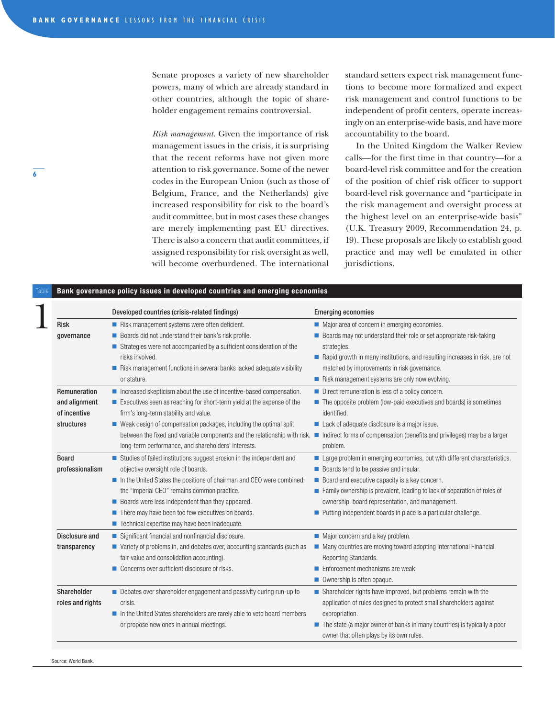Senate proposes a variety of new shareholder powers, many of which are already standard in other countries, although the topic of shareholder engagement remains controversial.

*Risk management.* Given the importance of risk management issues in the crisis, it is surprising that the recent reforms have not given more attention to risk governance. Some of the newer codes in the European Union (such as those of Belgium, France, and the Netherlands) give increased responsibility for risk to the board's audit committee, but in most cases these changes are merely implementing past EU directives. There is also a concern that audit committees, if assigned responsibility for risk oversight as well, will become overburdened. The international

standard setters expect risk management functions to become more formalized and expect risk management and control functions to be independent of profit centers, operate increasingly on an enterprise-wide basis, and have more accountability to the board.

In the United Kingdom the Walker Review calls—for the first time in that country—for a board-level risk committee and for the creation of the position of chief risk officer to support board-level risk governance and "participate in the risk management and oversight process at the highest level on an enterprise-wide basis" (U.K. Treasury 2009, Recommendation 24, p. 19). These proposals are likely to establish good practice and may well be emulated in other jurisdictions.

| Bank governance policy issues in developed countries and emerging economies |                                                                           |                                                                                                                                                            |
|-----------------------------------------------------------------------------|---------------------------------------------------------------------------|------------------------------------------------------------------------------------------------------------------------------------------------------------|
|                                                                             | Developed countries (crisis-related findings)                             | <b>Emerging economies</b>                                                                                                                                  |
| <b>Risk</b>                                                                 | Risk management systems were often deficient.                             | Major area of concern in emerging economies.                                                                                                               |
| governance                                                                  | Boards did not understand their bank's risk profile.                      | ■ Boards may not understand their role or set appropriate risk-taking                                                                                      |
|                                                                             | Strategies were not accompanied by a sufficient consideration of the      | strategies.                                                                                                                                                |
|                                                                             | risks involved.                                                           | Rapid growth in many institutions, and resulting increases in risk, are not                                                                                |
|                                                                             | Risk management functions in several banks lacked adequate visibility     | matched by improvements in risk governance.                                                                                                                |
|                                                                             | or stature.                                                               | Risk management systems are only now evolving.                                                                                                             |
| Remuneration                                                                | Increased skepticism about the use of incentive-based compensation.       | Direct remuneration is less of a policy concern.                                                                                                           |
| and alignment                                                               | Executives seen as reaching for short-term yield at the expense of the    | $\blacksquare$ The opposite problem (low-paid executives and boards) is sometimes                                                                          |
| of incentive                                                                | firm's long-term stability and value.                                     | identified.                                                                                                                                                |
| structures                                                                  | ■ Weak design of compensation packages, including the optimal split       | Lack of adequate disclosure is a major issue.                                                                                                              |
|                                                                             |                                                                           | between the fixed and variable components and the relationship with risk, natural endirect forms of compensation (benefits and privileges) may be a larger |
|                                                                             | long-term performance, and shareholders' interests.                       | problem.                                                                                                                                                   |
| <b>Board</b>                                                                | Studies of failed institutions suggest erosion in the independent and     | Large problem in emerging economies, but with different characteristics.                                                                                   |
| professionalism                                                             | objective oversight role of boards.                                       | Boards tend to be passive and insular.                                                                                                                     |
|                                                                             | In the United States the positions of chairman and CEO were combined;     | Board and executive capacity is a key concern.                                                                                                             |
|                                                                             | the "imperial CEO" remains common practice.                               | ■ Family ownership is prevalent, leading to lack of separation of roles of                                                                                 |
|                                                                             | Boards were less independent than they appeared.                          | ownership, board representation, and management.                                                                                                           |
|                                                                             | There may have been too few executives on boards.                         | Putting independent boards in place is a particular challenge.                                                                                             |
|                                                                             | ■ Technical expertise may have been inadequate.                           |                                                                                                                                                            |
| <b>Disclosure and</b>                                                       | Significant financial and nonfinancial disclosure.                        | $\blacksquare$ Major concern and a key problem.                                                                                                            |
| transparency                                                                | ■ Variety of problems in, and debates over, accounting standards (such as | ■ Many countries are moving toward adopting International Financial                                                                                        |
|                                                                             | fair-value and consolidation accounting).                                 | Reporting Standards.                                                                                                                                       |
|                                                                             | Concerns over sufficient disclosure of risks.                             | $\blacksquare$ Enforcement mechanisms are weak.                                                                                                            |
|                                                                             |                                                                           | ■ Ownership is often opaque.                                                                                                                               |
| Shareholder                                                                 | Debates over shareholder engagement and passivity during run-up to        | Shareholder rights have improved, but problems remain with the                                                                                             |
| roles and rights                                                            | crisis.                                                                   | application of rules designed to protect small shareholders against                                                                                        |
|                                                                             | In the United States shareholders are rarely able to veto board members   | expropriation.                                                                                                                                             |
|                                                                             | or propose new ones in annual meetings.                                   | $\blacksquare$ The state (a major owner of banks in many countries) is typically a poor                                                                    |
|                                                                             |                                                                           | owner that often plays by its own rules.                                                                                                                   |

Source: World Bank.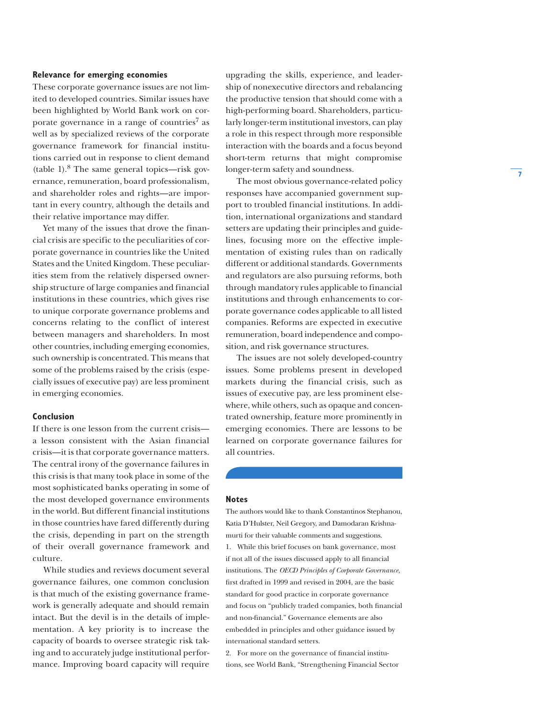#### **Relevance for emerging economies**

These corporate governance issues are not limited to developed countries. Similar issues have been highlighted by World Bank work on corporate governance in a range of countries<sup>7</sup> as well as by specialized reviews of the corporate governance framework for financial institutions carried out in response to client demand (table 1). $8$  The same general topics—risk governance, remuneration, board professionalism, and shareholder roles and rights—are important in every country, although the details and their relative importance may differ.

Yet many of the issues that drove the financial crisis are specific to the peculiarities of corporate governance in countries like the United States and the United Kingdom. These peculiarities stem from the relatively dispersed ownership structure of large companies and financial institutions in these countries, which gives rise to unique corporate governance problems and concerns relating to the conflict of interest between managers and shareholders. In most other countries, including emerging economies, such ownership is concentrated. This means that some of the problems raised by the crisis (especially issues of executive pay) are less prominent in emerging economies.

#### **Conclusion**

If there is one lesson from the current crisis a lesson consistent with the Asian financial crisis—it is that corporate governance matters. The central irony of the governance failures in this crisis is that many took place in some of the most sophisticated banks operating in some of the most developed governance environments in the world. But different financial institutions in those countries have fared differently during the crisis, depending in part on the strength of their overall governance framework and culture.

While studies and reviews document several governance failures, one common conclusion is that much of the existing governance framework is generally adequate and should remain intact. But the devil is in the details of implementation. A key priority is to increase the capacity of boards to oversee strategic risk taking and to accurately judge institutional performance. Improving board capacity will require

upgrading the skills, experience, and leadership of nonexecutive directors and rebalancing the productive tension that should come with a high-performing board. Shareholders, particularly longer-term institutional investors, can play a role in this respect through more responsible interaction with the boards and a focus beyond short-term returns that might compromise longer-term safety and soundness.

The most obvious governance-related policy responses have accompanied government support to troubled financial institutions. In addition, international organizations and standard setters are updating their principles and guidelines, focusing more on the effective implementation of existing rules than on radically different or additional standards. Governments and regulators are also pursuing reforms, both through mandatory rules applicable to financial institutions and through enhancements to corporate governance codes applicable to all listed companies. Reforms are expected in executive remuneration, board independence and composition, and risk governance structures.

The issues are not solely developed-country issues. Some problems present in developed markets during the financial crisis, such as issues of executive pay, are less prominent elsewhere, while others, such as opaque and concentrated ownership, feature more prominently in emerging economies. There are lessons to be learned on corporate governance failures for all countries.

#### **Notes**

The authors would like to thank Constantinos Stephanou, Katia D'Hulster, Neil Gregory, and Damodaran Krishnamurti for their valuable comments and suggestions.

1. While this brief focuses on bank governance, most if not all of the issues discussed apply to all financial institutions. The *OECD Principles of Corporate Governance,*  first drafted in 1999 and revised in 2004, are the basic standard for good practice in corporate governance and focus on "publicly traded companies, both financial and non-financial." Governance elements are also embedded in principles and other guidance issued by international standard setters.

2. For more on the governance of financial institutions, see World Bank, "Strengthening Financial Sector